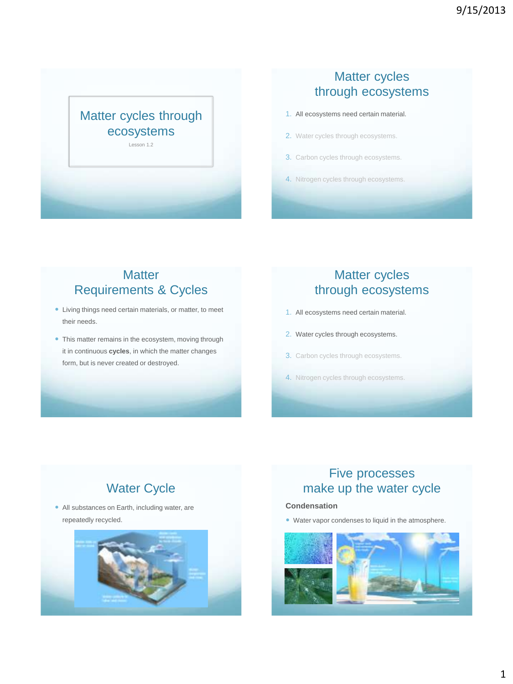

### Matter cycles through ecosystems

- 1. All ecosystems need certain material.
- 2. Water cycles through ecosystems.
- 3. Carbon cycles through ecosystems.
- 4. Nitrogen cycles through ecosystems.

### **Matter** Requirements & Cycles

- Living things need certain materials, or matter, to meet their needs.
- This matter remains in the ecosystem, moving through it in continuous **cycles**, in which the matter changes form, but is never created or destroyed.

### Matter cycles through ecosystems

- 1. All ecosystems need certain material.
- 2. Water cycles through ecosystems.
- 3. Carbon cycles through ecosystems.
- 4. Nitrogen cycles through ecosystems.

# Water Cycle

 All substances on Earth, including water, are repeatedly recycled.



### Five processes make up the water cycle

#### **Condensation**

Water vapor condenses to liquid in the atmosphere.

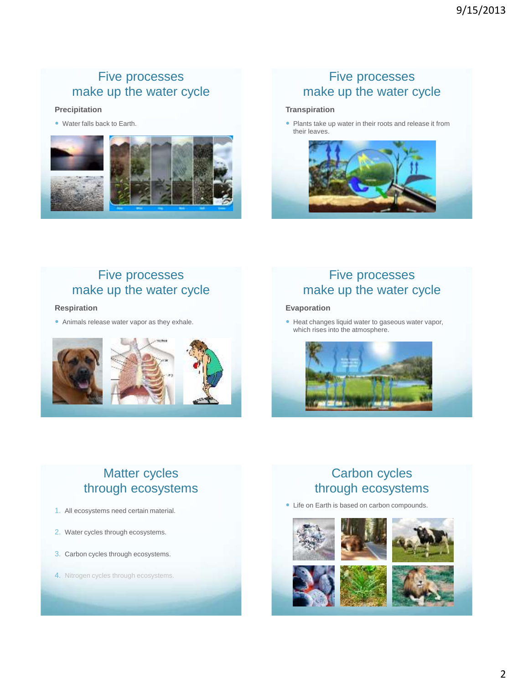### Five processes make up the water cycle

#### **Precipitation**

Water falls back to Earth.



### Five processes make up the water cycle

#### **Transpiration**

• Plants take up water in their roots and release it from their leaves.



#### Five processes make up the water cycle

#### **Respiration**

Animals release water vapor as they exhale.



### Five processes make up the water cycle

#### **Evaporation**

• Heat changes liquid water to gaseous water vapor, which rises into the atmosphere.



# Matter cycles through ecosystems

- 1. All ecosystems need certain material.
- 2. Water cycles through ecosystems.
- 3. Carbon cycles through ecosystems.
- 4. Nitrogen cycles through ecosystems.

# Carbon cycles through ecosystems

Life on Earth is based on carbon compounds.







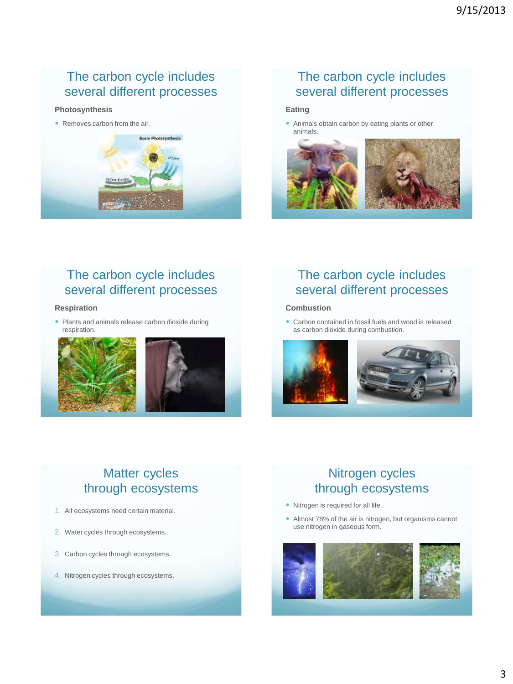# The carbon cycle includes several different processes

#### **Photosynthesis**

• Removes carbon from the air.



# The carbon cycle includes several different processes

#### **Eating**

 Animals obtain carbon by eating plants or other animals.



### The carbon cycle includes several different processes

#### **Respiration**

 Plants and animals release carbon dioxide during respiration.



# The carbon cycle includes several different processes

#### **Combustion**

 Carbon contained in fossil fuels and wood is released as carbon dioxide during combustion.



# Matter cycles through ecosystems

- 1. All ecosystems need certain material.
- 2. Water cycles through ecosystems.
- 3. Carbon cycles through ecosystems.
- 4. Nitrogen cycles through ecosystems.

# Nitrogen cycles through ecosystems

- Nitrogen is required for all life.
- Almost 78% of the air is nitrogen, but organisms cannot use nitrogen in gaseous form.

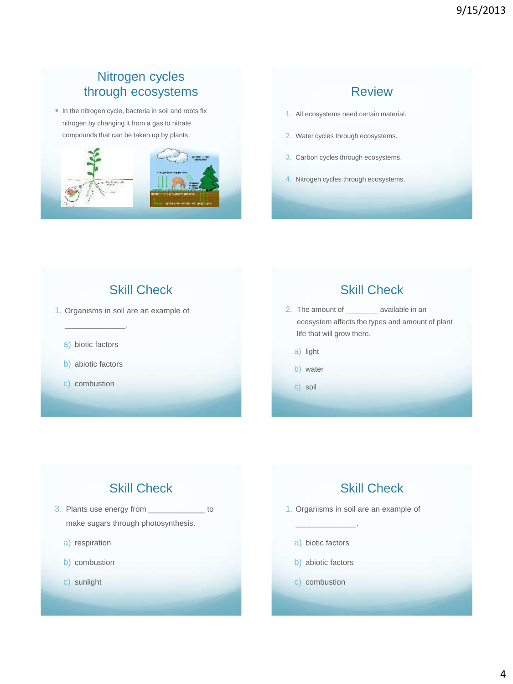### Nitrogen cycles through ecosystems

• In the nitrogen cycle, bacteria in soil and roots fix nitrogen by changing it from a gas to nitrate compounds that can be taken up by plants.



### Review

- 1. All ecosystems need certain material.
- 2. Water cycles through ecosystems.
- 3. Carbon cycles through ecosystems.
- 4. Nitrogen cycles through ecosystems.

Skill Check

1. Organisms in soil are an example of

a) biotic factors

\_\_\_\_\_\_\_\_\_\_\_\_\_\_.

- b) abiotic factors
- c) combustion

### Skill Check

2. The amount of \_\_\_\_\_\_\_\_ available in an ecosystem affects the types and amount of plant life that will grow there.

- a) light
- b) water
- c) soil

# Skill Check

- 3. Plants use energy from \_\_\_\_\_\_\_\_\_\_\_\_\_ to make sugars through photosynthesis.
	- a) respiration
	- b) combustion
	- c) sunlight

# Skill Check

- 1. Organisms in soil are an example of
	- a) biotic factors

\_\_\_\_\_\_\_\_\_\_\_\_\_\_.

- b) abiotic factors
- c) combustion